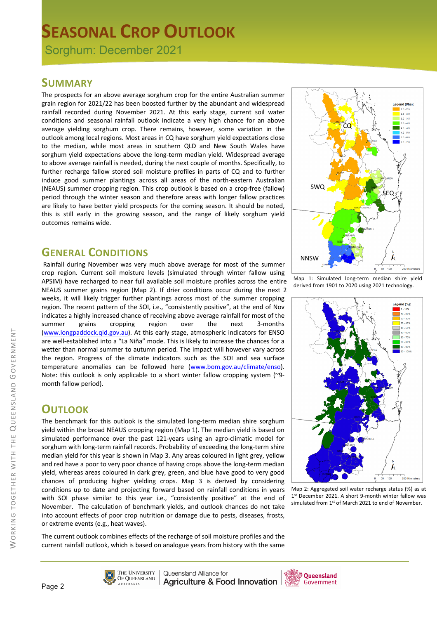# **SEASONAL CROP OUTLOOK**

Sorghum: December 2021

### **SUMMARY**

The prospects for an above average sorghum crop for the entire Australian summer grain region for 2021/22 has been boosted further by the abundant and widespread rainfall recorded during November 2021. At this early stage, current soil water conditions and seasonal rainfall outlook indicate a very high chance for an above average yielding sorghum crop. There remains, however, some variation in the outlook among local regions. Most areas in CQ have sorghum yield expectations close to the median, while most areas in southern QLD and New South Wales have sorghum yield expectations above the long-term median yield. Widespread average to above average rainfall is needed, during the next couple of months. Specifically, to further recharge fallow stored soil moisture profiles in parts of CQ and to further induce good summer plantings across all areas of the north-eastern Australian (NEAUS) summer cropping region. This crop outlook is based on a crop-free (fallow) period through the winter season and therefore areas with longer fallow practices are likely to have better yield prospects for the coming season. It should be noted, this is still early in the growing season, and the range of likely sorghum yield outcomes remains wide.

### **GENERAL CONDITIONS**

Rainfall during November was very much above average for most of the summer crop region. Current soil moisture levels (simulated through winter fallow using APSIM) have recharged to near full available soil moisture profiles across the entire NEAUS summer grains region (Map 2). If drier conditions occur during the next 2 weeks, it will likely trigger further plantings across most of the summer cropping region. The recent pattern of the SOI, i.e., "consistently positive", at the end of Nov indicates a highly increased chance of receiving above average rainfall for most of the summer grains cropping region over the next 3-months (www.longpaddock.qld.gov.au). At this early stage, atmospheric indicators for ENSO are well-established into a "La Niña" mode. This is likely to increase the chances for a wetter than normal summer to autumn period. The impact will however vary across the region. Progress of the climate indicators such as the SOI and sea surface temperature anomalies can be followed here (www.bom.gov.au/climate/enso). Note: this outlook is only applicable to a short winter fallow cropping system (~9 month fallow period).

# **OUTLOOK**

The benchmark for this outlook is the simulated long-term median shire sorghum yield within the broad NEAUS cropping region (Map 1). The median yield is based on simulated performance over the past 121-years using an agro-climatic model for sorghum with long-term rainfall records. Probability of exceeding the long-term shire median yield for this year is shown in Map 3. Any areas coloured in light grey, yellow and red have a poor to very poor chance of having crops above the long-term median yield, whereas areas coloured in dark grey, green, and blue have good to very good chances of producing higher yielding crops. Map 3 is derived by considering conditions up to date and projecting forward based on rainfall conditions in years with SOI phase similar to this year i.e., "consistently positive" at the end of November. The calculation of benchmark yields, and outlook chances do not take into account effects of poor crop nutrition or damage due to pests, diseases, frosts, or extreme events (e.g., heat waves).

The current outlook combines effects of the recharge of soil moisture profiles and the current rainfall outlook, which is based on analogue years from history with the same



Map 1: Simulated long-term median shire yield derived from 1901 to 2020 using 2021 technology.



Map 2: Aggregated soil water recharge status (%) as at 1st December 2021. A short 9-month winter fallow was simulated from 1<sup>st</sup> of March 2021 to end of November.